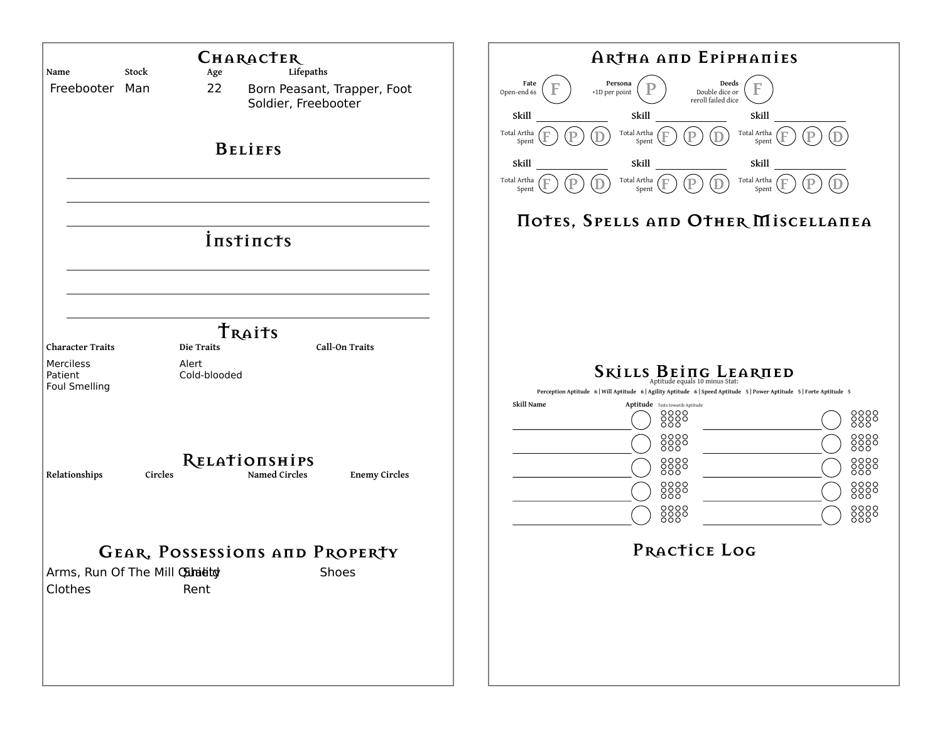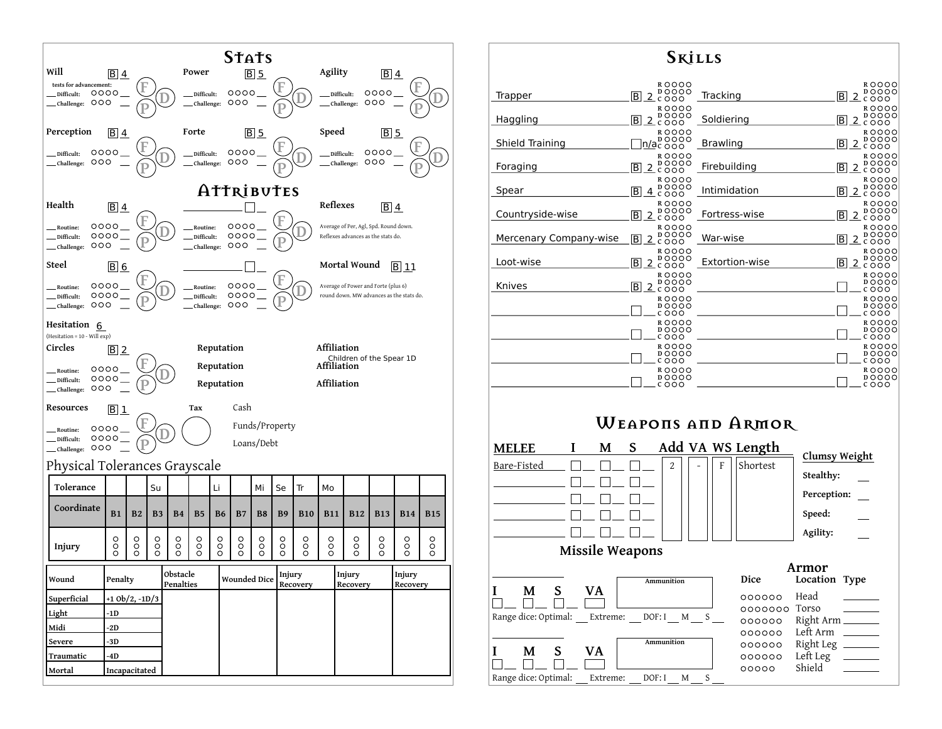

| <b>SKİLLS</b>          |                                                                    |                 |                                                                 |
|------------------------|--------------------------------------------------------------------|-----------------|-----------------------------------------------------------------|
| Trapper                | ROOOO<br><b>DOOOO</b><br>B<br><u>2</u> čŏŏo                        | Tracking        | ROOOO<br><b>DOOOO</b><br>B.<br><u>2</u> čŏŏo                    |
| Haggling               | ROOOO<br><b>DOOOO</b><br>B<br>2<br>COOO                            | Soldiering      | ROOOO<br><b>DOOOO</b><br>B<br><u>2</u> čŏoo                     |
| Shield Training        | ROOOO<br><b>DOOOO</b><br>n/ačooo                                   | <b>Brawling</b> | ROOOO<br>DOOOO<br>B<br><u>2 čooo</u>                            |
| Foraging               | ROOOO<br><b>DOOOO</b><br>B<br><u>2</u> čŏŏo                        | Firebuilding    | ROOOO<br><b>DOOOO</b><br><u>2</u> čŏŏo<br> B                    |
| Spear                  | ROOOO<br><b>DOOOO</b><br>B<br>$4$ cooo                             | Intimidation    | <b>ROOOO</b><br><b>DOOOO</b><br>$\overline{B}$<br><u>2</u> čŏoo |
| Countryside-wise       | ROOOO<br><b>DOOOO</b><br>$\overline{\mathsf{B}}$<br>2<br>COOO      | Fortress-wise   | ROOOO<br><b>DOOOO</b><br>$\overline{B}$<br><u>2 čooo</u>        |
| Mercenary Company-wise | ROOOO<br><b>DOOOO</b><br>$\overline{B}$<br><u>2 čooo</u><br>ROOOO  | War-wise        | ROOOO<br><b>DOOOO</b><br>B<br><u>2</u> čŏōo<br>ROOOO            |
| Loot-wise              | DOOOO<br>B<br>2 c 0 0 0                                            | Extortion-wise  | DOOOO<br>B<br>2 c o o o                                         |
| Knives                 | <b>ROOOO</b><br><b>DOOOO</b><br>$\overline{B}$<br>$2\tilde{c}$ 000 |                 | ROOOO<br><b>DOOOO</b><br>COOO                                   |
|                        | ROOOO<br><b>DOOOO</b><br>COOO                                      |                 | ROOOO<br>DOOOO<br>COOO                                          |
|                        | ROOOO<br><b>DOOOO</b><br>COOO                                      |                 | ROOOO<br><b>DOOOO</b><br>COOO                                   |
|                        | ROOOO<br><b>DOOOO</b><br>COOO                                      |                 | ROOOO<br><b>DOOOO</b><br>COOO                                   |
|                        | ROOOO<br><b>DOOOO</b><br>000                                       |                 | ROOOO<br><b>DOOOO</b><br>0000                                   |

## **Weapons and Armor**